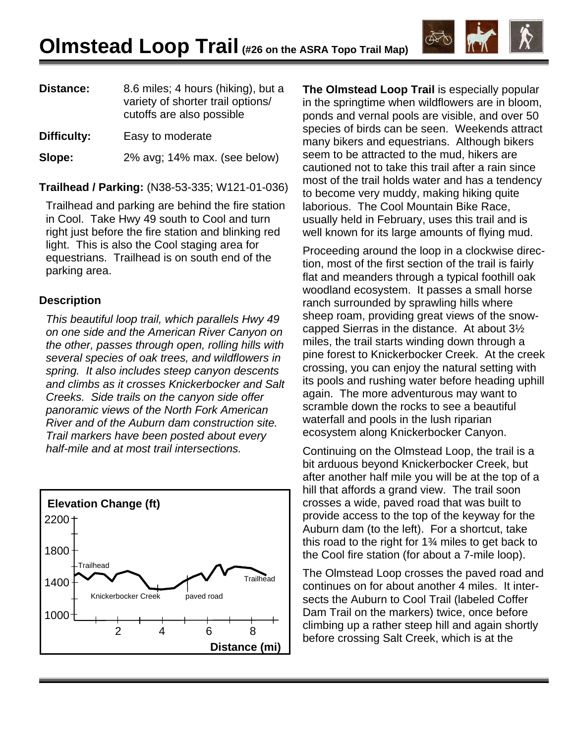| Distance:   | 8.6 miles; 4 hours (hiking), but a<br>variety of shorter trail options/<br>cutoffs are also possible |
|-------------|------------------------------------------------------------------------------------------------------|
| Difficulty: | Easy to moderate                                                                                     |
| Slope:      | 2% avg; 14% max. (see below)                                                                         |

**Trailhead / Parking:** (N38-53-335; W121-01-036)

Trailhead and parking are behind the fire station in Cool. Take Hwy 49 south to Cool and turn right just before the fire station and blinking red light. This is also the Cool staging area for equestrians. Trailhead is on south end of the parking area.

## **Description**

*This beautiful loop trail, which parallels Hwy 49 on one side and the American River Canyon on the other, passes through open, rolling hills with several species of oak trees, and wildflowers in spring. It also includes steep canyon descents and climbs as it crosses Knickerbocker and Salt Creeks. Side trails on the canyon side offer panoramic views of the North Fork American River and of the Auburn dam construction site. Trail markers have been posted about every half-mile and at most trail intersections.* 



**The Olmstead Loop Trail** is especially popular in the springtime when wildflowers are in bloom, ponds and vernal pools are visible, and over 50 species of birds can be seen. Weekends attract many bikers and equestrians. Although bikers seem to be attracted to the mud, hikers are cautioned not to take this trail after a rain since most of the trail holds water and has a tendency to become very muddy, making hiking quite laborious. The Cool Mountain Bike Race, usually held in February, uses this trail and is well known for its large amounts of flying mud.

Proceeding around the loop in a clockwise direction, most of the first section of the trail is fairly flat and meanders through a typical foothill oak woodland ecosystem. It passes a small horse ranch surrounded by sprawling hills where sheep roam, providing great views of the snowcapped Sierras in the distance. At about 3½ miles, the trail starts winding down through a pine forest to Knickerbocker Creek. At the creek crossing, you can enjoy the natural setting with its pools and rushing water before heading uphill again. The more adventurous may want to scramble down the rocks to see a beautiful waterfall and pools in the lush riparian ecosystem along Knickerbocker Canyon.

Continuing on the Olmstead Loop, the trail is a bit arduous beyond Knickerbocker Creek, but after another half mile you will be at the top of a hill that affords a grand view. The trail soon crosses a wide, paved road that was built to provide access to the top of the keyway for the Auburn dam (to the left). For a shortcut, take this road to the right for 1¾ miles to get back to the Cool fire station (for about a 7-mile loop).

The Olmstead Loop crosses the paved road and continues on for about another 4 miles. It intersects the Auburn to Cool Trail (labeled Coffer Dam Trail on the markers) twice, once before climbing up a rather steep hill and again shortly before crossing Salt Creek, which is at the